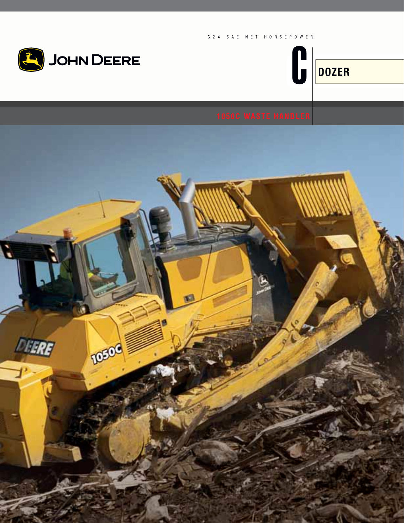



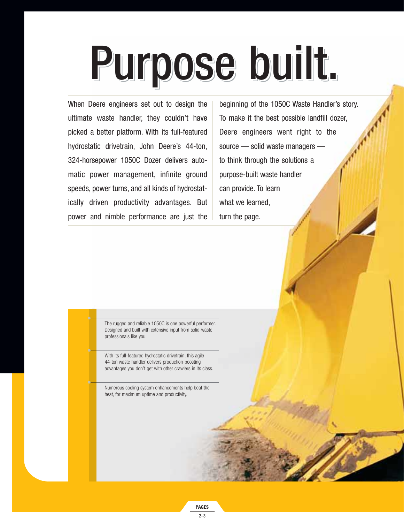# Purpose built. Purpose built. Purpose built.

When Deere engineers set out to design the ultimate waste handler, they couldn't have picked a better platform. With its full-featured hydrostatic drivetrain, John Deere's 44-ton, 324-horsepower 1050C Dozer delivers automatic power management, infinite ground speeds, power turns, and all kinds of hydrostatically driven productivity advantages. But power and nimble performance are just the

beginning of the 1050C Waste Handler's story. To make it the best possible landfill dozer, Deere engineers went right to the source — solid waste managers to think through the solutions a purpose-built waste handler can provide. To learn what we learned, turn the page.

The rugged and reliable 1050C is one powerful performer. Designed and built with extensive input from solid-waste professionals like you.

With its full-featured hydrostatic drivetrain, this agile 44-ton waste handler delivers production-boosting advantages you don't get with other crawlers in its class.

Numerous cooling system enhancements help beat the heat, for maximum uptime and productivity.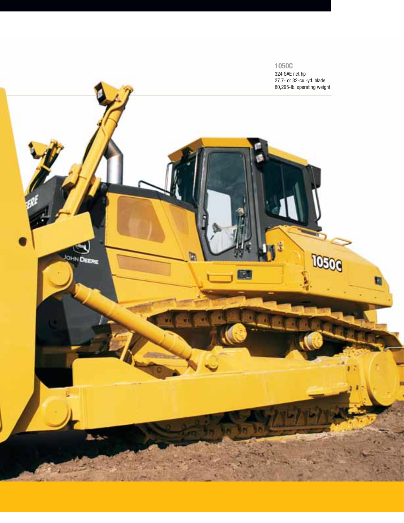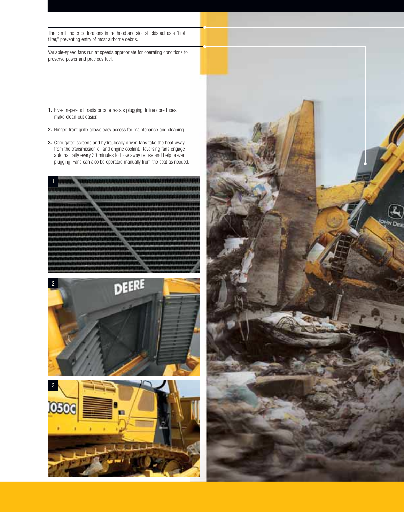Three-millimeter perforations in the hood and side shields act as a "first filter," preventing entry of most airborne debris.

Variable-speed fans run at speeds appropriate for operating conditions to preserve power and precious fuel.

- **1.** Five-fin-per-inch radiator core resists plugging. Inline core tubes make clean-out easier.
- **2.** Hinged front grille allows easy access for maintenance and cleaning.
- **3.** Corrugated screens and hydraulically driven fans take the heat away from the transmission oil and engine coolant. Reversing fans engage automatically every 30 minutes to blow away refuse and help prevent plugging. Fans can also be operated manually from the seat as needed.







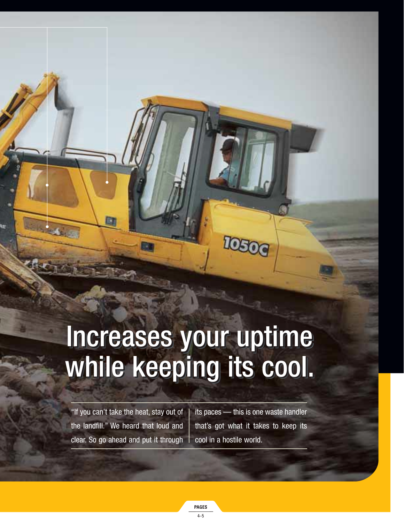### Increases your uptime Increases your uptime Increases your uptime while keeping its cool. while keeping its cool. while keeping its cool.

"If you can't take the heat, stay out of the landfill." We heard that loud and clear. So go ahead and put it through

its paces — this is one waste handler that's got what it takes to keep its cool in a hostile world.

**IOSOC**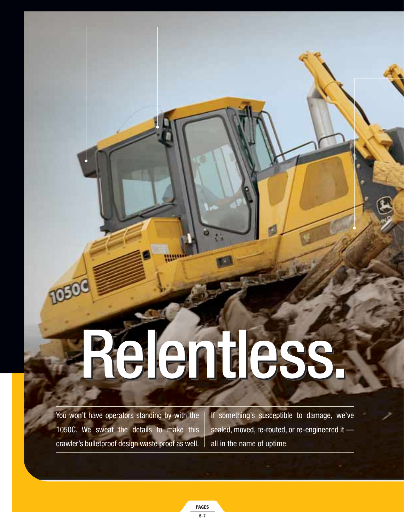# Relentless. Relentless.

You won't have operators standing by with the 1050C. We sweat the details to make this crawler's bulletproof design waste proof as well.

TOBO

If something's susceptible to damage, we've sealed, moved, re-routed, or re-engineered it all in the name of uptime.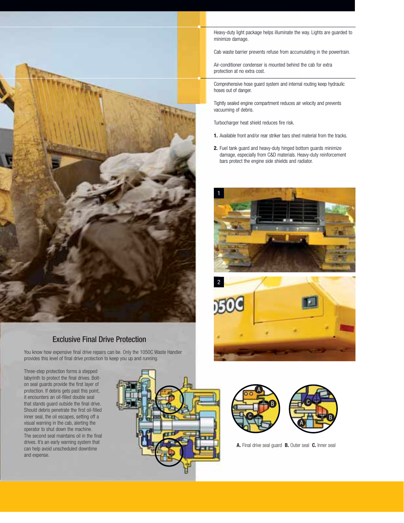

### Exclusive Final Drive Protection

You know how expensive final drive repairs can be. Only the 1050C Waste Handler provides this level of final drive protection to keep you up and running.

Three-step protection forms a stepped labyrinth to protect the final drives. Bolton seal guards provide the first layer of protection. If debris gets past this point, it encounters an oil-filled double seal that stands guard outside the final drive. Should debris penetrate the first oil-filled inner seal, the oil escapes, setting off a visual warning in the cab, alerting the operator to shut down the machine. The second seal maintains oil in the final drives. It's an early warning system that can help avoid unscheduled downtime and expense.



Heavy-duty light package helps illuminate the way. Lights are guarded to minimize damage.

Cab waste barrier prevents refuse from accumulating in the powertrain.

Air-conditioner condenser is mounted behind the cab for extra protection at no extra cost.

Comprehensive hose guard system and internal routing keep hydraulic hoses out of danger.

Tightly sealed engine compartment reduces air velocity and prevents vacuuming of debris.

Turbocharger heat shield reduces fire risk.

- **1.** Available front and/or rear striker bars shed material from the tracks.
- **2.** Fuel tank guard and heavy-duty hinged bottom guards minimize damage, especially from C&D materials. Heavy-duty reinforcement bars protect the engine side shields and radiator.







**A.** Final drive seal guard **B.** Outer seal **C.** Inner seal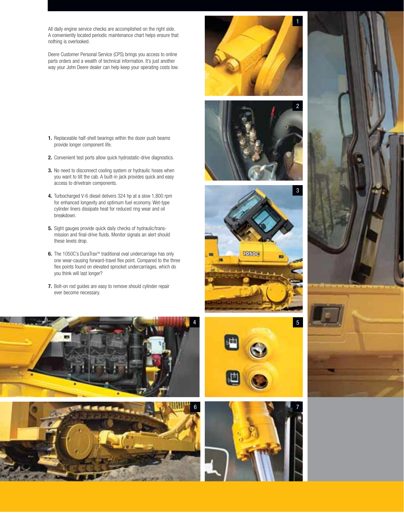All daily engine service checks are accomplished on the right side. A conveniently located periodic maintenance chart helps ensure that nothing is overlooked.

Deere Customer Personal Service (CPS) brings you access to online parts orders and a wealth of technical information. It's just another way your John Deere dealer can help keep your operating costs low.

- **1.** Replaceable half-shell bearings within the dozer push beams provide longer component life.
- **2.** Convenient test ports allow quick hydrostatic-drive diagnostics.
- **3.** No need to disconnect cooling system or hydraulic hoses when you want to tilt the cab. A built-in jack provides quick and easy access to drivetrain components.
- **4.** Turbocharged V-6 diesel delivers 324 hp at a slow 1,800 rpm for enhanced longevity and optimum fuel economy. Wet-type cylinder liners dissipate heat for reduced ring wear and oil breakdown.
- **5.** Sight gauges provide quick daily checks of hydraulic/transmission and final-drive fluids. Monitor signals an alert should these levels drop.
- **6.** The 1050C's DuraTrax™ traditional oval undercarriage has only one wear-causing forward-travel flex point. Compared to the three flex points found on elevated sprocket undercarriages, which do you think will last longer?
- **7.** Bolt-on rod guides are easy to remove should cylinder repair ever become necessary.

















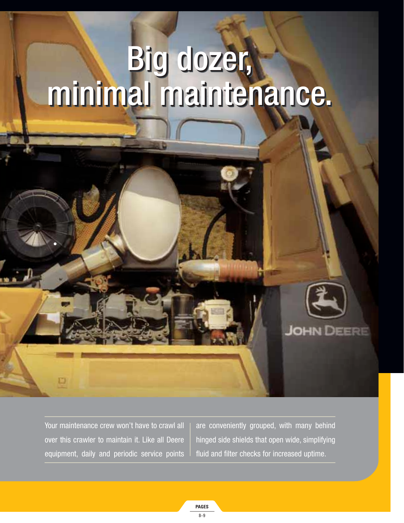### Big dozer, minimal maintenance. Big dozer, minimal maintenance. Big dozer, minimal maintenance.

Your maintenance crew won't have to crawl all over this crawler to maintain it. Like all Deere equipment, daily and periodic service points

 $\Box$ 

are conveniently grouped, with many behind hinged side shields that open wide, simplifying fluid and filter checks for increased uptime.

**JOHN DEERE**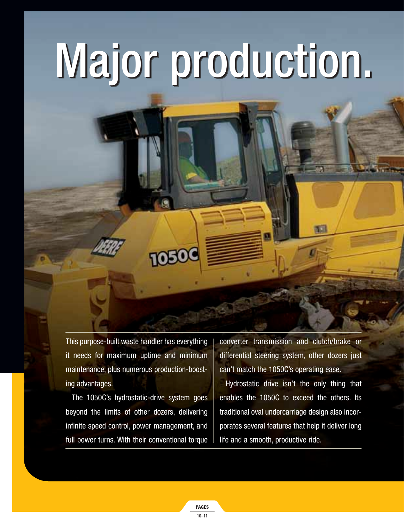# Major production. Major production. Major production.

This purpose-built waste handler has everything it needs for maximum uptime and minimum maintenance, plus numerous production-boosting advantages.

**TOBO** 

The 1050C's hydrostatic-drive system goes beyond the limits of other dozers, delivering infinite speed control, power management, and full power turns. With their conventional torque converter transmission and clutch/brake or differential steering system, other dozers just can't match the 1050C's operating ease.

Hydrostatic drive isn't the only thing that enables the 1050C to exceed the others. Its traditional oval undercarriage design also incorporates several features that help it deliver long life and a smooth, productive ride.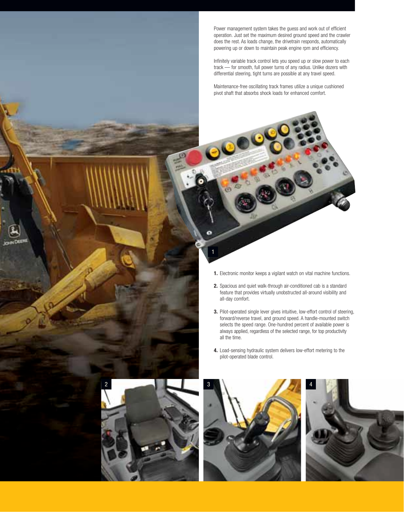Power management system takes the guess and work out of efficient operation. Just set the maximum desired ground speed and the crawler does the rest. As loads change, the drivetrain responds, automatically powering up or down to maintain peak engine rpm and efficiency.

Infinitely variable track control lets you speed up or slow power to each track — for smooth, full power turns of any radius. Unlike dozers with differential steering, tight turns are possible at any travel speed.

Maintenance-free oscillating track frames utilize a unique cushioned pivot shaft that absorbs shock loads for enhanced comfort.

**1.** Electronic monitor keeps a vigilant watch on vital machine functions.

1

- **2.** Spacious and quiet walk-through air-conditioned cab is a standard feature that provides virtually unobstructed all-around visibility and all-day comfort.
- **3.** Pilot-operated single lever gives intuitive, low-effort control of steering, forward/reverse travel, and ground speed. A handle-mounted switch selects the speed range. One-hundred percent of available power is always applied, regardless of the selected range, for top productivity all the time.
- **4.** Load-sensing hydraulic system delivers low-effort metering to the pilot-operated blade control.





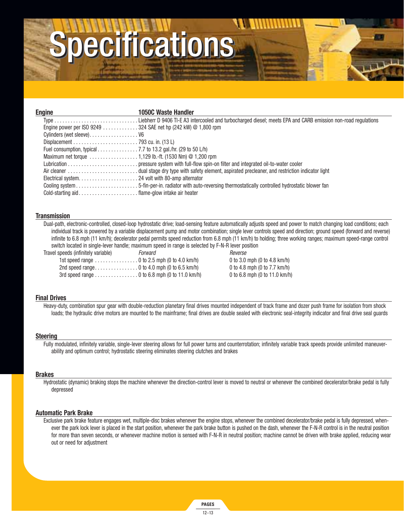### pecifications

| Engine                                                                                        | <b>1050C Waste Handler</b>                                                                                         |
|-----------------------------------------------------------------------------------------------|--------------------------------------------------------------------------------------------------------------------|
|                                                                                               | Type Liebherr D 9406 TI-E A3 intercooled and turbocharged diesel; meets EPA and CARB emission non-road regulations |
| Engine power per ISO 9249 $\ldots$ 324 SAE net hp (242 kW) @ 1,800 rpm                        |                                                                                                                    |
| Cylinders (wet sleeve) V6                                                                     |                                                                                                                    |
|                                                                                               |                                                                                                                    |
| Fuel consumption, typical $\ldots \ldots \ldots \ldots$ 7.7 to 13.2 gal./hr. (29 to 50 L/h)   |                                                                                                                    |
| Maximum net torque $\ldots \ldots \ldots \ldots \ldots 1,129$ lb.-ft. (1530 Nm) $@$ 1,200 rpm |                                                                                                                    |
|                                                                                               |                                                                                                                    |
|                                                                                               | Air cleaner dual stage dry type with safety element, aspirated precleaner, and restriction indicator light         |
|                                                                                               |                                                                                                                    |
|                                                                                               |                                                                                                                    |
| Cold-starting aid flame-glow intake air heater                                                |                                                                                                                    |

### **Transmission**

Dual-path, electronic-controlled, closed-loop hydrostatic drive; load-sensing feature automatically adjusts speed and power to match changing load conditions; each individual track is powered by a variable displacement pump and motor combination; single lever controls speed and direction; ground speed (forward and reverse) infinite to 6.8 mph (11 km/h); decelerator pedal permits speed reduction from 6.8 mph (11 km/h) to holding; three working ranges; maximum speed-range control switch located in single-lever handle; maximum speed in range is selected by F-N-R lever position

Travel speeds (infinitely variable) Travel Society About 2008 and Reverse

1st speed range . . . . . . . . . . . . . . . . 0 to 2.5 mph (0 to 4.0 km/h) 0 to 3.0 mph (0 to 4.8 km/h) 2nd speed range. . . . . . . . . . . . . . . . 0 to 4.0 mph (0 to 6.5 km/h) 0 to 4.8 mph (0 to 7.7 km/h) 3rd speed range . . . . . . . . . . . . . . . . 0 to 6.8 mph (0 to 11.0 km/h) 0 to 6.8 mph (0 to 11.0 km/h)

### **Final Drives**

Heavy-duty, combination spur gear with double-reduction planetary final drives mounted independent of track frame and dozer push frame for isolation from shock loads; the hydraulic drive motors are mounted to the mainframe; final drives are double sealed with electronic seal-integrity indicator and final drive seal quards

### **Steering**

Fully modulated, infinitely variable, single-lever steering allows for full power turns and counterrotation; infinitely variable track speeds provide unlimited maneuverability and optimum control; hydrostatic steering eliminates steering clutches and brakes

### **Brakes**

Hydrostatic (dynamic) braking stops the machine whenever the direction-control lever is moved to neutral or whenever the combined decelerator/brake pedal is fully depressed

### **Automatic Park Brake**

Exclusive park brake feature engages wet, multiple-disc brakes whenever the engine stops, whenever the combined decelerator/brake pedal is fully depressed, whenever the park lock lever is placed in the start position, whenever the park brake button is pushed on the dash, whenever the F-N-R control is in the neutral position for more than seven seconds, or whenever machine motion is sensed with F-N-R in neutral position; machine cannot be driven with brake applied, reducing wear out or need for adjustment

> **PAGES** 12–13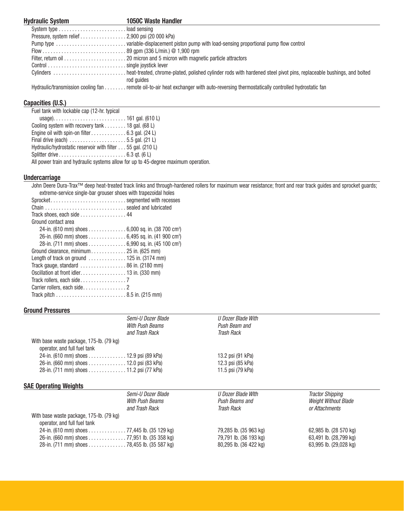| <b>Hydraulic System</b>                        | <b>1050C Waste Handler</b>                                                                                                                   |
|------------------------------------------------|----------------------------------------------------------------------------------------------------------------------------------------------|
|                                                |                                                                                                                                              |
| Pressure, system relief 2,900 psi (20 000 kPa) |                                                                                                                                              |
|                                                |                                                                                                                                              |
|                                                |                                                                                                                                              |
|                                                |                                                                                                                                              |
|                                                |                                                                                                                                              |
|                                                | Cylinders heat-treated, chrome-plated, polished cylinder rods with hardened steel pivot pins, replaceable bushings, and bolted<br>rod guides |
|                                                | Hydraulic/transmission cooling fan remote oil-to-air heat exchanger with auto-reversing thermostatically controlled hydrostatic fan          |

### **Capacities (U.S.)**

| Fuel tank with lockable cap (12-hr. typical                                        |
|------------------------------------------------------------------------------------|
|                                                                                    |
| Cooling system with recovery tank $\ldots \ldots \ldots$ 18 gal. (68 L)            |
| Engine oil with spin-on filter 6.3 gal. (24 L)                                     |
| Final drive (each) $\ldots \ldots \ldots \ldots \ldots \ldots 5.5$ gal. (21 L)     |
| Hydraulic/hydrostatic reservoir with filter 55 gal. (210 L)                        |
| Splitter drive $\dots\dots\dots\dots\dots\dots\dots\dots\dots$ 6.3 gt. (6 L)       |
| All power train and hydraulic systems allow for up to 45-degree maximum operation. |
|                                                                                    |

### **Undercarriage**

John Deere Dura-Trax™ deep heat-treated track links and through-hardened rollers for maximum wear resistance; front and rear track guides and sprocket guards; extreme-service single-bar grouser shoes with trapezoidal holes

| <u>CALICITIC-SCI VICC SITIUIC-DAL ULUUSCI SITUCS WILLI LIADCZUTUAL HUICS</u> |
|------------------------------------------------------------------------------|
| Sprocket segmented with recesses                                             |
| Chain  sealed and lubricated                                                 |
| Track shoes, each side 44                                                    |
| Ground contact area                                                          |
| 24-in. (610 mm) shoes 6,000 sq. in. (38 700 cm <sup>2</sup> )                |
| 26-in. (660 mm) shoes 6,495 sq. in. (41 900 cm <sup>2</sup> )                |
| 28-in. (711 mm) shoes 6,990 sq. in. (45 100 cm <sup>2</sup> )                |
|                                                                              |
| Length of track on ground $\ldots \ldots \ldots \ldots 125$ in. (3174 mm)    |
| Track gauge, standard $\ldots \ldots \ldots \ldots \ldots$ 86 in. (2180 mm)  |
| Oscillation at front idler. 13 in. (330 mm)                                  |
|                                                                              |
|                                                                              |
|                                                                              |
|                                                                              |

### **Ground Pressures**

|                                          | Semi-U Dozer Blade                      | U Dozer Blade With |  |
|------------------------------------------|-----------------------------------------|--------------------|--|
|                                          | With Push Beams                         | Push Beam and      |  |
|                                          | and Trash Rack                          | Trash Rack         |  |
| With base waste package, 175-lb. (79 kg) |                                         |                    |  |
| operator, and full fuel tank             |                                         |                    |  |
| 24-in. (610 mm) shoes 12.9 psi (89 kPa)  |                                         | 13.2 psi (91 kPa)  |  |
| 26-in. (660 mm) shoes 12.0 psi (83 kPa)  |                                         | 12.3 psi (85 kPa)  |  |
|                                          | 28-in. (711 mm) shoes 11.2 psi (77 kPa) | 11.5 psi (79 kPa)  |  |

|                                                                                              | Semi-U Dozer Blade<br>With Push Beams<br>and Trash Rack | U Dozer Blade With<br>Push Beams and<br>Trash Rack | Tractor Shipping<br><b>Weight Without Blade</b><br>or Attachments |
|----------------------------------------------------------------------------------------------|---------------------------------------------------------|----------------------------------------------------|-------------------------------------------------------------------|
| With base waste package, 175-lb. (79 kg)<br>operator, and full fuel tank                     |                                                         |                                                    |                                                                   |
| 24-in. (610 mm) shoes 77,445 lb. (35 129 kg)                                                 |                                                         | 79,285 lb. (35 963 kg)                             | 62,985 lb. (28 570 kg)                                            |
| 26-in. (660 mm) shoes 77,951 lb. (35 358 kg)<br>28-in. (711 mm) shoes 78,455 lb. (35 587 kg) |                                                         | 79,791 lb. (36 193 kg)<br>80,295 lb. (36 422 kg)   | 63,491 lb. (28,799 kg)<br>63,995 lb. (29,028 kg)                  |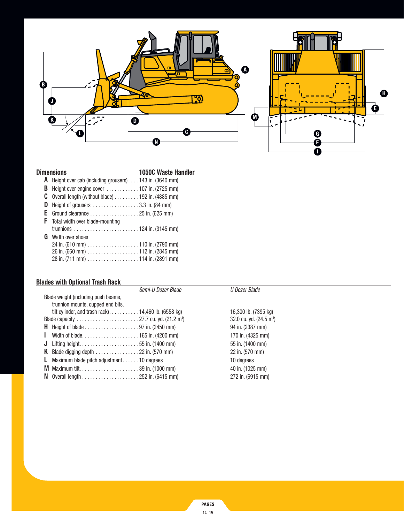

| Dimensions | <b>1050C Waste Handler</b>                                                    |  |
|------------|-------------------------------------------------------------------------------|--|
|            | <b>A</b> Height over cab (including grousers) 143 in. (3640 mm)               |  |
| В          | Height over engine cover $\dots\dots\dots\dots$ 107 in. (2725 mm)             |  |
|            | <b>C</b> Overall length (without blade) $\dots \dots \dots 192$ in. (4885 mm) |  |
| D          | Height of grousers $\dots \dots \dots \dots \dots 3.3$ in. (84 mm)            |  |
|            | E Ground clearance $\dots\dots\dots\dots\dots\dots$ 25 in. (625 mm)           |  |
|            | <b>F</b> Total width over blade-mounting                                      |  |
|            |                                                                               |  |
|            | <b>G</b> Width over shoes                                                     |  |
|            | 24 in. (610 mm) $\ldots \ldots \ldots \ldots \ldots \ldots$ 110 in. (2790 mm) |  |
|            | 26 in. (660 mm) $\ldots \ldots \ldots \ldots \ldots \ldots$ 112 in. (2845 mm) |  |
|            |                                                                               |  |

### **Blades with Optional Trash Rack**

| Semi-U Dozer Blade                                                                | U Dozer Blade                     |
|-----------------------------------------------------------------------------------|-----------------------------------|
| Blade weight (including push beams,                                               |                                   |
| trunnion mounts, cupped end bits,                                                 |                                   |
| tilt cylinder, and trash rack) 14,460 lb. (6558 kg)                               | 16,300 lb. (7395 kg)              |
|                                                                                   | 32.0 cu. yd. $(24.5 \text{ m}^3)$ |
|                                                                                   | 94 in. (2387 mm)                  |
|                                                                                   | 170 in. (4325 mm)                 |
|                                                                                   | 55 in. (1400 mm)                  |
| <b>K</b> Blade digging depth $\ldots \ldots \ldots \ldots \ldots$ 22 in. (570 mm) | 22 in. (570 mm)                   |
| Maximum blade pitch adjustment 10 degrees<br>L.                                   | 10 degrees                        |
|                                                                                   | 40 in. (1025 mm)                  |
|                                                                                   | 272 in. (6915 mm)                 |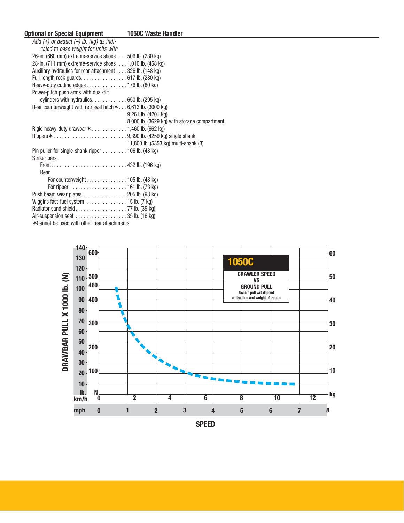| <b>1050C Waste Handler</b>                                                  |
|-----------------------------------------------------------------------------|
|                                                                             |
|                                                                             |
| 26-in. (660 mm) extreme-service shoes 506 lb. (230 kg)                      |
| 28-in. (711 mm) extreme-service shoes 1,010 lb. (458 kg)                    |
| Auxiliary hydraulics for rear attachment 326 lb. (148 kg)                   |
| Full-length rock guards. 617 lb. (280 kg)                                   |
| Heavy-duty cutting edges 176 lb. (80 kg)                                    |
|                                                                             |
|                                                                             |
| Rear counterweight with retrieval hitch $* \dots 6,613$ lb. (3000 kg)       |
| $9,261$ lb. $(4201$ kg)                                                     |
| 8,000 lb. (3629 kg) with storage compartment                                |
| Rigid heavy-duty drawbar $*$ 1,460 lb. (662 kg)                             |
|                                                                             |
| 11,800 lb. (5353 kg) multi-shank (3)                                        |
| Pin puller for single-shank ripper $\ldots \ldots \ldots$ 106 lb. (48 kg)   |
|                                                                             |
|                                                                             |
|                                                                             |
|                                                                             |
|                                                                             |
| Push beam wear plates $\ldots \ldots \ldots \ldots 205$ lb. (93 kg)         |
| Wiggins fast-fuel system $\ldots \ldots \ldots \ldots \ldots$ 15 lb. (7 kg) |
|                                                                             |
|                                                                             |
|                                                                             |

✶Cannot be used with other rear attachments.